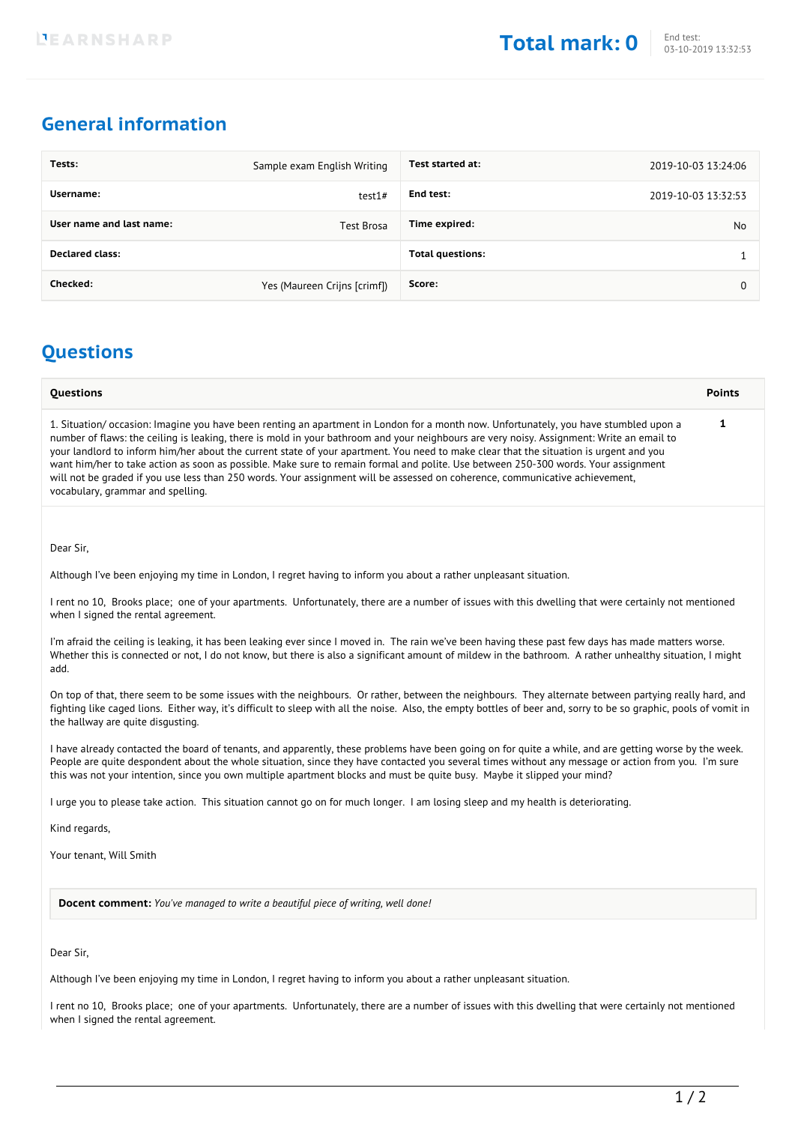# **General information**

| Tests:                   | Sample exam English Writing  | Test started at:        | 2019-10-03 13:24:06 |
|--------------------------|------------------------------|-------------------------|---------------------|
| Username:                | test1#                       | End test:               | 2019-10-03 13:32:53 |
| User name and last name: | Test Brosa                   | Time expired:           | No                  |
| <b>Declared class:</b>   |                              | <b>Total questions:</b> |                     |
| Checked:                 | Yes (Maureen Crijns [crimf]) | Score:                  | 0                   |

## **Questions**

| <b>Questions</b>                                                                                                                                                                                                                                                                                                                                                                                                                                                                                                                                                                                                                                                                                                                       | <b>Points</b> |
|----------------------------------------------------------------------------------------------------------------------------------------------------------------------------------------------------------------------------------------------------------------------------------------------------------------------------------------------------------------------------------------------------------------------------------------------------------------------------------------------------------------------------------------------------------------------------------------------------------------------------------------------------------------------------------------------------------------------------------------|---------------|
| 1. Situation/occasion: Imagine you have been renting an apartment in London for a month now. Unfortunately, you have stumbled upon a<br>number of flaws: the ceiling is leaking, there is mold in your bathroom and your neighbours are very noisy. Assignment: Write an email to<br>your landlord to inform him/her about the current state of your apartment. You need to make clear that the situation is urgent and you<br>want him/her to take action as soon as possible. Make sure to remain formal and polite. Use between 250-300 words. Your assignment<br>will not be graded if you use less than 250 words. Your assignment will be assessed on coherence, communicative achievement,<br>vocabulary, grammar and spelling. |               |

Dear Sir,

Although I've been enjoying my time in London, I regret having to inform you about a rather unpleasant situation.

I rent no 10, Brooks place; one of your apartments. Unfortunately, there are a number of issues with this dwelling that were certainly not mentioned when I signed the rental agreement.

I'm afraid the ceiling is leaking, it has been leaking ever since I moved in. The rain we've been having these past few days has made matters worse. Whether this is connected or not, I do not know, but there is also a significant amount of mildew in the bathroom. A rather unhealthy situation, I might add.

On top of that, there seem to be some issues with the neighbours. Or rather, between the neighbours. They alternate between partying really hard, and fighting like caged lions. Either way, it's difficult to sleep with all the noise. Also, the empty bottles of beer and, sorry to be so graphic, pools of vomit in the hallway are quite disgusting.

I have already contacted the board of tenants, and apparently, these problems have been going on for quite a while, and are getting worse by the week. People are quite despondent about the whole situation, since they have contacted you several times without any message or action from you. I'm sure this was not your intention, since you own multiple apartment blocks and must be quite busy. Maybe it slipped your mind?

I urge you to please take action. This situation cannot go on for much longer. I am losing sleep and my health is deteriorating.

Kind regards,

Your tenant, Will Smith

**Docent comment:** *You've managed to write a beautiful piece of writing, well done!*

Dear Sir,

Although I've been enjoying my time in London, I regret having to inform you about a rather unpleasant situation.

I rent no 10, Brooks place; one of your apartments. Unfortunately, there are a number of issues with this dwelling that were certainly not mentioned when I signed the rental agreement.